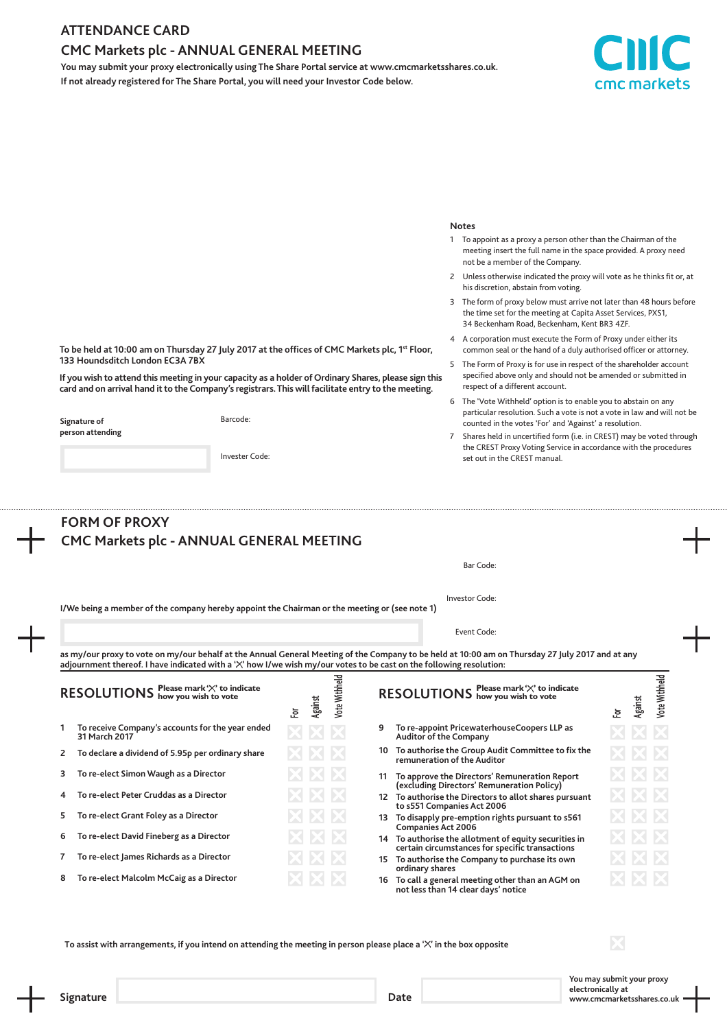### **ATTENDANCE CARD**

**133 Houndsditch London EC3A 7BX**

**Signature of person attending**

## **CMC Markets plc - ANNUAL GENERAL MEETING**

**You may submit your proxy electronically using The Share Portal service at www.cmcmarketsshares.co.uk. If not already registered for The Share Portal, you will need your Investor Code below.**

**To be held at 10:00 am on Thursday 27 July 2017 at the offices of CMC Markets plc, 1st Floor,**

**If you wish to attend this meeting in your capacity as a holder of Ordinary Shares, please sign this card and on arrival hand it to the Company's registrars. This will facilitate entry to the meeting.**

Barcode:

Invester Code:



#### **Notes**

- 1 To appoint as a proxy a person other than the Chairman of the meeting insert the full name in the space provided. A proxy need not be a member of the Company.
- 2 Unless otherwise indicated the proxy will vote as he thinks fit or, at his discretion, abstain from voting.
- 3 The form of proxy below must arrive not later than 48 hours before the time set for the meeting at Capita Asset Services, PXS1, 34 Beckenham Road, Beckenham, Kent BR3 4ZF.
- 4 A corporation must execute the Form of Proxy under either its common seal or the hand of a duly authorised officer or attorney.
- 5 The Form of Proxy is for use in respect of the shareholder account specified above only and should not be amended or submitted in respect of a different account.
- 6 The 'Vote Withheld' option is to enable you to abstain on any particular resolution. Such a vote is not a vote in law and will not be counted in the votes 'For' and 'Against' a resolution.
- 7 Shares held in uncertified form (i.e. in CREST) may be voted through the CREST Proxy Voting Service in accordance with the procedures set out in the CREST manual.

| <b>FORM OF PROXY</b>                                                                          |    |         |                      |                                                                                                                       |         |               |
|-----------------------------------------------------------------------------------------------|----|---------|----------------------|-----------------------------------------------------------------------------------------------------------------------|---------|---------------|
| CMC Markets plc - ANNUAL GENERAL MEETING                                                      |    |         |                      |                                                                                                                       |         |               |
|                                                                                               |    |         |                      | Bar Code:                                                                                                             |         |               |
| I/We being a member of the company hereby appoint the Chairman or the meeting or (see note 1) |    |         |                      | Investor Code:                                                                                                        |         |               |
|                                                                                               |    |         |                      | Event Code:                                                                                                           |         |               |
| RESOLUTIONS how you wish to vote                                                              | ē. | Against | <b>Vote Withheld</b> | RESOLUTIONS how you wish to vote<br>호                                                                                 | Against | Vote Withheld |
| To receive Company's accounts for the year ended<br>1<br>31 March 2017                        |    |         |                      | To re-appoint PricewaterhouseCoopers LLP as<br>9<br>Auditor of the Company                                            |         |               |
| To declare a dividend of 5.95p per ordinary share                                             |    |         |                      | 10 To authorise the Group Audit Committee to fix the<br>remuneration of the Auditor                                   |         |               |
| To re-elect Simon Waugh as a Director<br>з                                                    |    |         |                      | 11 To approve the Directors' Remuneration Report<br>(excluding Directors' Remuneration Policy)                        |         |               |
| To re-elect Peter Cruddas as a Director<br>4                                                  |    |         |                      | 12 To authorise the Directors to allot shares pursuant<br>to s551 Companies Act 2006                                  |         |               |
|                                                                                               |    |         |                      | 13 To disapply pre-emption rights pursuant to s561<br><b>Companies Act 2006</b>                                       |         |               |
| To re-elect Grant Foley as a Director                                                         |    |         |                      | 14 To authorise the allotment of equity securities in                                                                 |         |               |
| 5<br>To re-elect David Fineberg as a Director<br>6                                            |    |         |                      |                                                                                                                       |         |               |
| To re-elect James Richards as a Director                                                      |    |         |                      | certain circumstances for specific transactions<br>15 To authorise the Company to purchase its own<br>ordinary shares |         |               |

To assist with arrangements, if you intend on attending the meeting in person please place a 'X' in the box opposite

**You may submit your proxy electronically at Signature Date www.cmcmarketsshares.co.uk**